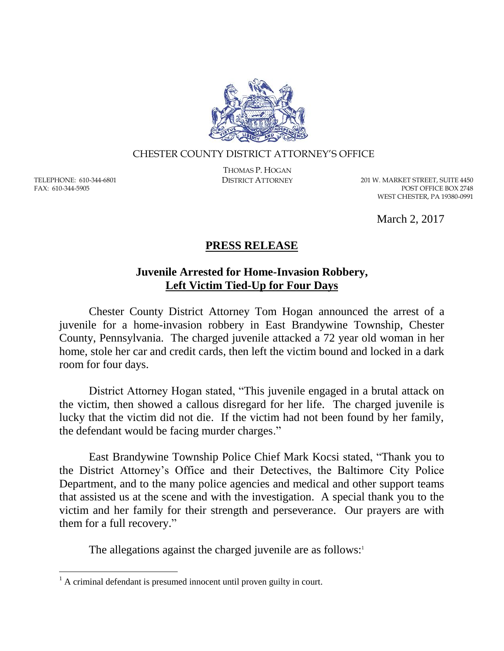

## CHESTER COUNTY DISTRICT ATTORNEY'S OFFICE

TELEPHONE: 610-344-6801 FAX: 610-344-5905

 $\overline{a}$ 

THOMAS P. HOGAN

DISTRICT ATTORNEY 201 W. MARKET STREET, SUITE 4450 POST OFFICE BOX 2748 WEST CHESTER, PA 19380-0991

March 2, 2017

## **PRESS RELEASE**

## **Juvenile Arrested for Home-Invasion Robbery, Left Victim Tied-Up for Four Days**

Chester County District Attorney Tom Hogan announced the arrest of a juvenile for a home-invasion robbery in East Brandywine Township, Chester County, Pennsylvania. The charged juvenile attacked a 72 year old woman in her home, stole her car and credit cards, then left the victim bound and locked in a dark room for four days.

District Attorney Hogan stated, "This juvenile engaged in a brutal attack on the victim, then showed a callous disregard for her life. The charged juvenile is lucky that the victim did not die. If the victim had not been found by her family, the defendant would be facing murder charges."

East Brandywine Township Police Chief Mark Kocsi stated, "Thank you to the District Attorney's Office and their Detectives, the Baltimore City Police Department, and to the many police agencies and medical and other support teams that assisted us at the scene and with the investigation. A special thank you to the victim and her family for their strength and perseverance. Our prayers are with them for a full recovery."

The allegations against the charged juvenile are as follows:<sup>1</sup>

 $<sup>1</sup>$  A criminal defendant is presumed innocent until proven guilty in court.</sup>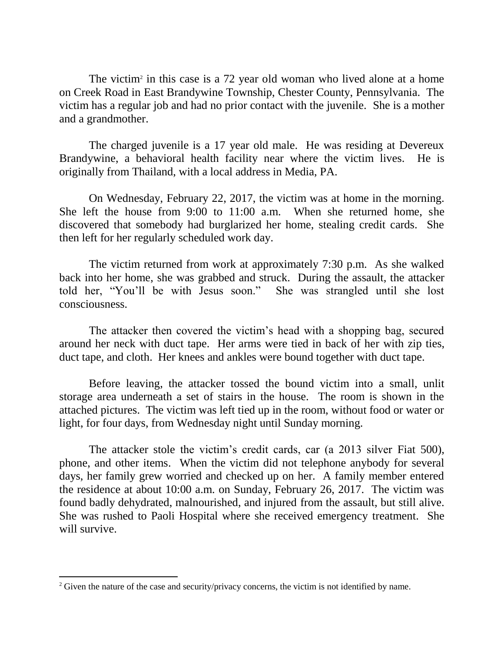The victim<sup>2</sup> in this case is a 72 year old woman who lived alone at a home on Creek Road in East Brandywine Township, Chester County, Pennsylvania. The victim has a regular job and had no prior contact with the juvenile. She is a mother and a grandmother.

The charged juvenile is a 17 year old male. He was residing at Devereux Brandywine, a behavioral health facility near where the victim lives. He is originally from Thailand, with a local address in Media, PA.

On Wednesday, February 22, 2017, the victim was at home in the morning. She left the house from 9:00 to 11:00 a.m. When she returned home, she discovered that somebody had burglarized her home, stealing credit cards. She then left for her regularly scheduled work day.

The victim returned from work at approximately 7:30 p.m. As she walked back into her home, she was grabbed and struck. During the assault, the attacker told her, "You'll be with Jesus soon." She was strangled until she lost consciousness.

The attacker then covered the victim's head with a shopping bag, secured around her neck with duct tape. Her arms were tied in back of her with zip ties, duct tape, and cloth. Her knees and ankles were bound together with duct tape.

Before leaving, the attacker tossed the bound victim into a small, unlit storage area underneath a set of stairs in the house. The room is shown in the attached pictures. The victim was left tied up in the room, without food or water or light, for four days, from Wednesday night until Sunday morning.

The attacker stole the victim's credit cards, car (a 2013 silver Fiat 500), phone, and other items. When the victim did not telephone anybody for several days, her family grew worried and checked up on her. A family member entered the residence at about 10:00 a.m. on Sunday, February 26, 2017. The victim was found badly dehydrated, malnourished, and injured from the assault, but still alive. She was rushed to Paoli Hospital where she received emergency treatment. She will survive.

 $\overline{a}$ 

<sup>&</sup>lt;sup>2</sup> Given the nature of the case and security/privacy concerns, the victim is not identified by name.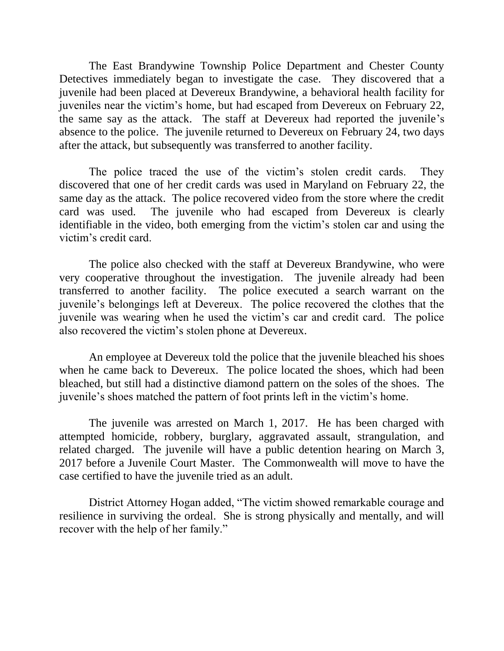The East Brandywine Township Police Department and Chester County Detectives immediately began to investigate the case. They discovered that a juvenile had been placed at Devereux Brandywine, a behavioral health facility for juveniles near the victim's home, but had escaped from Devereux on February 22, the same say as the attack. The staff at Devereux had reported the juvenile's absence to the police. The juvenile returned to Devereux on February 24, two days after the attack, but subsequently was transferred to another facility.

The police traced the use of the victim's stolen credit cards. They discovered that one of her credit cards was used in Maryland on February 22, the same day as the attack. The police recovered video from the store where the credit card was used. The juvenile who had escaped from Devereux is clearly identifiable in the video, both emerging from the victim's stolen car and using the victim's credit card.

The police also checked with the staff at Devereux Brandywine, who were very cooperative throughout the investigation. The juvenile already had been transferred to another facility. The police executed a search warrant on the juvenile's belongings left at Devereux. The police recovered the clothes that the juvenile was wearing when he used the victim's car and credit card. The police also recovered the victim's stolen phone at Devereux.

An employee at Devereux told the police that the juvenile bleached his shoes when he came back to Devereux. The police located the shoes, which had been bleached, but still had a distinctive diamond pattern on the soles of the shoes. The juvenile's shoes matched the pattern of foot prints left in the victim's home.

The juvenile was arrested on March 1, 2017. He has been charged with attempted homicide, robbery, burglary, aggravated assault, strangulation, and related charged. The juvenile will have a public detention hearing on March 3, 2017 before a Juvenile Court Master. The Commonwealth will move to have the case certified to have the juvenile tried as an adult.

District Attorney Hogan added, "The victim showed remarkable courage and resilience in surviving the ordeal. She is strong physically and mentally, and will recover with the help of her family."